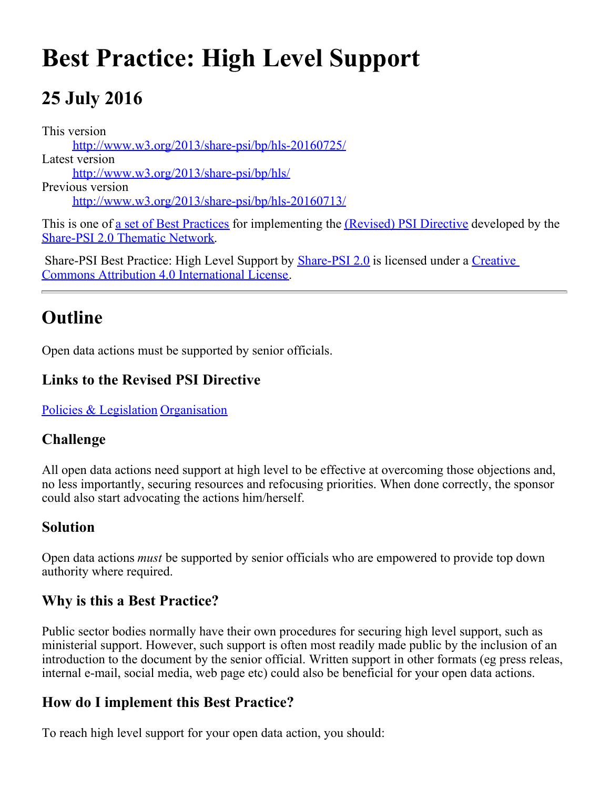# **Best Practice: High Level Support**

# **25 July 2016**

This version [http://www.w3.org/2013/share-psi/bp/hls-20160725/](https://www.w3.org/2013/share-psi/bp/hls-20160725/) Latest version [http://www.w3.org/2013/share-psi/bp/hls/](https://www.w3.org/2013/share-psi/bp/hls/) Previous version [http://www.w3.org/2013/share-psi/bp/hls-20160713/](https://www.w3.org/2013/share-psi/bp/hls-20160713/)

This is one of <u>a set of Best Practices</u> for implementing the *(Revised)* PSI Directive developed by the [Share-PSI 2.0 Thematic Network](http://www.w3.org/2013/share-psi/).

Share-PSI Best Practice: High Level Support by **[Share-PSI 2.0](http://www.w3.org/2013/share-psi/)** is licensed under a [Creative](http://creativecommons.org/licenses/by/4.0/) [Commons Attribution 4.0 International License](http://creativecommons.org/licenses/by/4.0/).

# **Outline**

Open data actions must be supported by senior officials.

#### **Links to the Revised PSI Directive**

[Policies & Legislation](https://www.w3.org/2013/share-psi/bp/policy/) [Organisation](https://www.w3.org/2013/share-psi/bp/organisation/)

#### **Challenge**

All open data actions need support at high level to be effective at overcoming those objections and, no less importantly, securing resources and refocusing priorities. When done correctly, the sponsor could also start advocating the actions him/herself.

#### **Solution**

Open data actions *must* be supported by senior officials who are empowered to provide top down authority where required.

#### **Why is this a Best Practice?**

Public sector bodies normally have their own procedures for securing high level support, such as ministerial support. However, such support is often most readily made public by the inclusion of an introduction to the document by the senior official. Written support in other formats (eg press releas, internal e-mail, social media, web page etc) could also be beneficial for your open data actions.

#### **How do I implement this Best Practice?**

To reach high level support for your open data action, you should: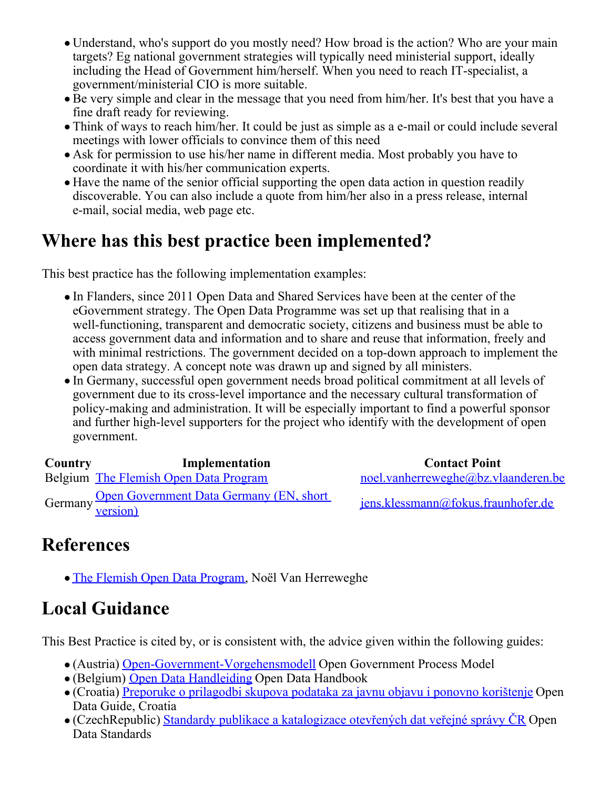- Understand, who's support do you mostly need? How broad is the action? Who are your main targets? Eg national government strategies will typically need ministerial support, ideally including the Head of Government him/herself. When you need to reach IT-specialist, a government/ministerial CIO is more suitable.
- Be very simple and clear in the message that you need from him/her. It's best that you have a fine draft ready for reviewing.
- Think of ways to reach him/her. It could be just as simple as a e-mail or could include several meetings with lower officials to convince them of this need
- Ask for permission to use his/her name in different media. Most probably you have to coordinate it with his/her communication experts.
- Have the name of the senior official supporting the open data action in question readily discoverable. You can also include a quote from him/her also in a press release, internal e-mail, social media, web page etc.

## **Where has this best practice been implemented?**

This best practice has the following implementation examples:

- In Flanders, since 2011 Open Data and Shared Services have been at the center of the eGovernment strategy. The Open Data Programme was set up that realising that in a well-functioning, transparent and democratic society, citizens and business must be able to access government data and information and to share and reuse that information, freely and with minimal restrictions. The government decided on a top-down approach to implement the open data strategy. A concept note was drawn up and signed by all ministers.
- In Germany, successful open government needs broad political commitment at all levels of government due to its cross-level importance and the necessary cultural transformation of policy-making and administration. It will be especially important to find a powerful sponsor and further high-level supporters for the project who identify with the development of open government.

| Country | Implementation                                              | <b>Contact Point</b>                |
|---------|-------------------------------------------------------------|-------------------------------------|
|         | Belgium The Flemish Open Data Program                       | noel.vanherreweghe@bz.vlaanderen.be |
|         | Germany Open Government Data Germany (EN, short<br>version) | jens.klessmann@fokus.fraunhofer.de  |

### **References**

**[The Flemish Open Data Program](https://www.w3.org/2013/share-psi/wiki/images/a/a0/TheFlemishInnovationProjects.pdf), Noël Van Herreweghe** 

# **Local Guidance**

This Best Practice is cited by, or is consistent with, the advice given within the following guides:

- (Austria) [Open-Government-Vorgehensmodell](https://www.w3.org/2013/share-psi/lg/Austria#wnGuide) Open Government Process Model
- (Belgium) [Open Data Handleiding](https://www.w3.org/2013/share-psi/lg/Belgium#vlGuide) Open Data Handbook
- (Croatia) [Preporuke o prilagodbi skupova podataka za javnu objavu i ponovno korištenje](https://www.w3.org/2013/share-psi/lg/Croatia#hrGuide) Open Data Guide, Croatia
- (CzechRepublic) [Standardy publikace a katalogizace otevřených dat veřejné správy ČR](https://www.w3.org/2013/share-psi/lg/CzechRepublic#czOpenDataStandards) Open Data Standards